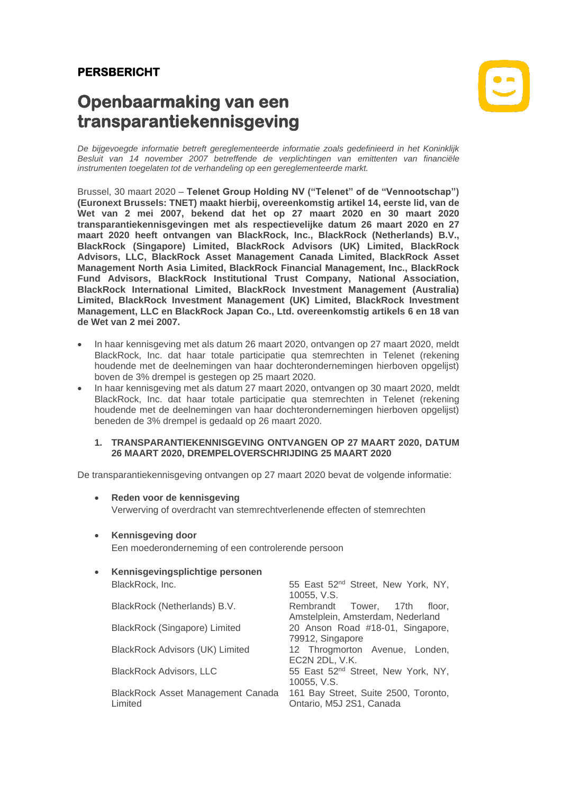# **PERSBERICHT**

# **Openbaarmaking van een transparantiekennisgeving**



*De bijgevoegde informatie betreft gereglementeerde informatie zoals gedefinieerd in het Koninklijk Besluit van 14 november 2007 betreffende de verplichtingen van emittenten van financiële instrumenten toegelaten tot de verhandeling op een gereglementeerde markt.*

Brussel, 30 maart 2020 – **Telenet Group Holding NV ("Telenet" of de "Vennootschap") (Euronext Brussels: TNET) maakt hierbij, overeenkomstig artikel 14, eerste lid, van de Wet van 2 mei 2007, bekend dat het op 27 maart 2020 en 30 maart 2020 transparantiekennisgevingen met als respectievelijke datum 26 maart 2020 en 27 maart 2020 heeft ontvangen van BlackRock, Inc., BlackRock (Netherlands) B.V., BlackRock (Singapore) Limited, BlackRock Advisors (UK) Limited, BlackRock Advisors, LLC, BlackRock Asset Management Canada Limited, BlackRock Asset Management North Asia Limited, BlackRock Financial Management, Inc., BlackRock Fund Advisors, BlackRock Institutional Trust Company, National Association, BlackRock International Limited, BlackRock Investment Management (Australia) Limited, BlackRock Investment Management (UK) Limited, BlackRock Investment Management, LLC en BlackRock Japan Co., Ltd. overeenkomstig artikels 6 en 18 van de Wet van 2 mei 2007.**

- In haar kennisgeving met als datum 26 maart 2020, ontvangen op 27 maart 2020, meldt BlackRock, Inc. dat haar totale participatie qua stemrechten in Telenet (rekening houdende met de deelnemingen van haar dochterondernemingen hierboven opgelijst) boven de 3% drempel is gestegen op 25 maart 2020.
- In haar kennisgeving met als datum 27 maart 2020, ontvangen op 30 maart 2020, meldt BlackRock, Inc. dat haar totale participatie qua stemrechten in Telenet (rekening houdende met de deelnemingen van haar dochterondernemingen hierboven opgelijst) beneden de 3% drempel is gedaald op 26 maart 2020.

#### **1. TRANSPARANTIEKENNISGEVING ONTVANGEN OP 27 MAART 2020, DATUM 26 MAART 2020, DREMPELOVERSCHRIJDING 25 MAART 2020**

De transparantiekennisgeving ontvangen op 27 maart 2020 bevat de volgende informatie:

- **Reden voor de kennisgeving** Verwerving of overdracht van stemrechtverlenende effecten of stemrechten
- **Kennisgeving door**

Een moederonderneming of een controlerende persoon

| $\bullet$ | Kennisgevingsplichtige personen              |                                                                   |  |  |  |  |  |
|-----------|----------------------------------------------|-------------------------------------------------------------------|--|--|--|--|--|
|           | BlackRock, Inc.                              | 55 East 52 <sup>nd</sup> Street, New York, NY,<br>10055, V.S.     |  |  |  |  |  |
|           | BlackRock (Netherlands) B.V.                 | Rembrandt Tower, 17th floor,<br>Amstelplein, Amsterdam, Nederland |  |  |  |  |  |
|           | BlackRock (Singapore) Limited                | 20 Anson Road #18-01, Singapore,<br>79912, Singapore              |  |  |  |  |  |
|           | <b>BlackRock Advisors (UK) Limited</b>       | 12 Throgmorton Avenue, Londen,<br>EC2N 2DL, V.K.                  |  |  |  |  |  |
|           | <b>BlackRock Advisors, LLC</b>               | 55 East 52 <sup>nd</sup> Street, New York, NY,<br>10055, V.S.     |  |  |  |  |  |
|           | BlackRock Asset Management Canada<br>Limited | 161 Bay Street, Suite 2500, Toronto,<br>Ontario, M5J 2S1, Canada  |  |  |  |  |  |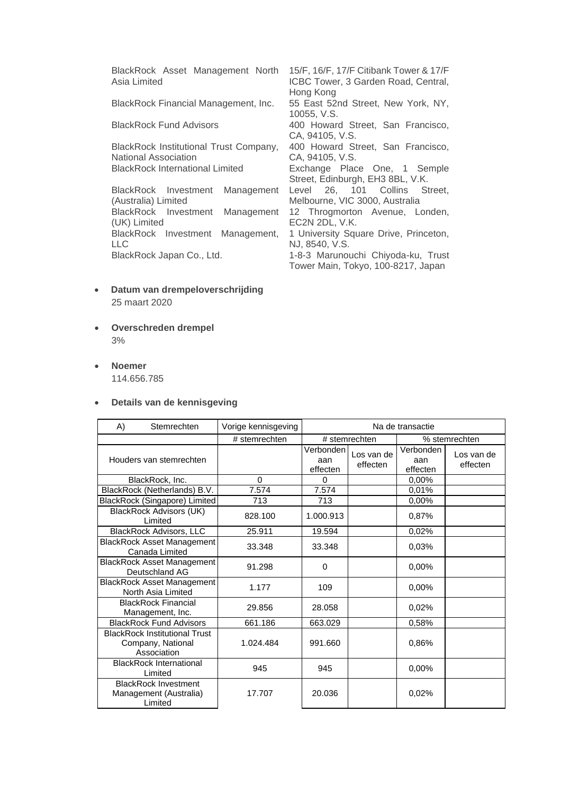| BlackRock Asset Management North<br>Asia Limited          | 15/F, 16/F, 17/F Citibank Tower & 17/F<br>ICBC Tower, 3 Garden Road, Central,<br>Hong Kong |
|-----------------------------------------------------------|--------------------------------------------------------------------------------------------|
| BlackRock Financial Management, Inc.                      | 55 East 52nd Street, New York, NY,<br>10055, V.S.                                          |
| <b>BlackRock Fund Advisors</b>                            | 400 Howard Street, San Francisco,<br>CA, 94105, V.S.                                       |
| BlackRock Institutional Trust Company,                    | 400 Howard Street, San Francisco,                                                          |
| <b>National Association</b>                               | CA, 94105, V.S.                                                                            |
| <b>BlackRock International Limited</b>                    | Exchange Place One, 1 Semple<br>Street, Edinburgh, EH3 8BL, V.K.                           |
| BlackRock Investment<br>Management<br>(Australia) Limited | Level 26, 101 Collins Street,<br>Melbourne, VIC 3000, Australia                            |
| BlackRock Investment<br>Management<br>(UK) Limited        | 12 Throgmorton Avenue, Londen,<br>EC2N 2DL, V.K.                                           |
| BlackRock Investment Management,<br><b>LLC</b>            | 1 University Square Drive, Princeton,<br>NJ, 8540, V.S.                                    |
| BlackRock Japan Co., Ltd.                                 | 1-8-3 Marunouchi Chiyoda-ku, Trust                                                         |
|                                                           | Tower Main, Tokyo, 100-8217, Japan                                                         |

- **Datum van drempeloverschrijding** 25 maart 2020
- **Overschreden drempel** 3%
- **Noemer** 114.656.785

# • **Details van de kennisgeving**

| A) | Stemrechten                                                              | Vorige kennisgeving | Na de transactie             |                        |                              |                        |
|----|--------------------------------------------------------------------------|---------------------|------------------------------|------------------------|------------------------------|------------------------|
|    |                                                                          | # stemrechten       |                              | # stemrechten          |                              | % stemrechten          |
|    | Houders van stemrechten                                                  |                     | Verbonden<br>aan<br>effecten | Los van de<br>effecten | Verbonden<br>aan<br>effecten | Los van de<br>effecten |
|    | BlackRock, Inc.                                                          | $\Omega$            | $\Omega$                     |                        | 0,00%                        |                        |
|    | BlackRock (Netherlands) B.V.                                             | 7.574               | 7.574                        |                        | 0,01%                        |                        |
|    | BlackRock (Singapore) Limited                                            | 713                 | 713                          |                        | 0,00%                        |                        |
|    | <b>BlackRock Advisors (UK)</b><br>Limited                                | 828.100             | 1.000.913                    |                        | 0,87%                        |                        |
|    | <b>BlackRock Advisors, LLC</b>                                           | 25.911              | 19.594                       |                        | 0,02%                        |                        |
|    | <b>BlackRock Asset Management</b><br>Canada Limited                      | 33.348              | 33.348                       |                        | 0.03%                        |                        |
|    | <b>BlackRock Asset Management</b><br>Deutschland AG                      | 91.298              | 0                            |                        | 0,00%                        |                        |
|    | <b>BlackRock Asset Management</b><br>North Asia Limited                  | 1.177               | 109                          |                        | 0.00%                        |                        |
|    | <b>BlackRock Financial</b><br>Management, Inc.                           | 29.856              | 28.058                       |                        | 0.02%                        |                        |
|    | <b>BlackRock Fund Advisors</b>                                           | 661.186             | 663.029                      |                        | 0,58%                        |                        |
|    | <b>BlackRock Institutional Trust</b><br>Company, National<br>Association | 1.024.484           | 991.660                      |                        | 0,86%                        |                        |
|    | <b>BlackRock International</b><br>Limited                                | 945                 | 945                          |                        | 0.00%                        |                        |
|    | <b>BlackRock Investment</b><br>Management (Australia)<br>Limited         | 17.707              | 20.036                       |                        | 0.02%                        |                        |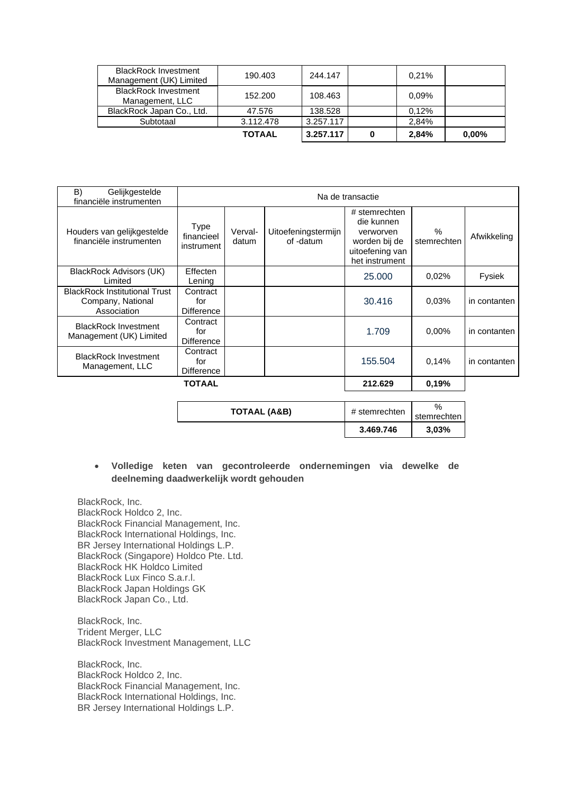| <b>BlackRock Investment</b><br>Management (UK) Limited | 190.403       | 244.147   |   | 0.21% |          |
|--------------------------------------------------------|---------------|-----------|---|-------|----------|
| <b>BlackRock Investment</b><br>Management, LLC         | 152,200       | 108.463   |   | 0.09% |          |
| BlackRock Japan Co., Ltd.                              | 47.576        | 138.528   |   | 0.12% |          |
| Subtotaal                                              | 3.112.478     | 3.257.117 |   | 2.84% |          |
|                                                        | <b>TOTAAL</b> | 3.257.117 | 0 | 2.84% | $0.00\%$ |

| B)<br>Gelijkgestelde<br>financiële instrumenten                          |                                      | Na de transactie |                                  |                                                                                                |                     |              |
|--------------------------------------------------------------------------|--------------------------------------|------------------|----------------------------------|------------------------------------------------------------------------------------------------|---------------------|--------------|
| Houders van gelijkgestelde<br>financiële instrumenten                    | Type<br>financieel<br>instrument     | Verval-<br>datum | Uitoefeningstermijn<br>of -datum | # stemrechten<br>die kunnen<br>verworven<br>worden bij de<br>uitoefening van<br>het instrument | $\%$<br>stemrechten | Afwikkeling  |
| BlackRock Advisors (UK)<br>Limited                                       | Effecten<br>Lening                   |                  |                                  | 25,000                                                                                         | 0.02%               | Fysiek       |
| <b>BlackRock Institutional Trust</b><br>Company, National<br>Association | Contract<br>for<br><b>Difference</b> |                  |                                  | 30.416                                                                                         | 0.03%               | in contanten |
| <b>BlackRock Investment</b><br>Management (UK) Limited                   | Contract<br>for<br><b>Difference</b> |                  |                                  | 1.709                                                                                          | $0.00\%$            | in contanten |
| <b>BlackRock Investment</b><br>Management, LLC                           | Contract<br>for<br><b>Difference</b> |                  |                                  | 155.504                                                                                        | 0,14%               | in contanten |
| <b>TOTAAL</b>                                                            |                                      |                  |                                  | 212.629                                                                                        | 0.19%               |              |

|              | 3.469.746     | 3,03%            |
|--------------|---------------|------------------|
| TOTAAL (A&B) | # stemrechten | %<br>stemrechten |

## • **Volledige keten van gecontroleerde ondernemingen via dewelke de deelneming daadwerkelijk wordt gehouden**

BlackRock, Inc. BlackRock Holdco 2, Inc. BlackRock Financial Management, Inc. BlackRock International Holdings, Inc. BR Jersey International Holdings L.P. BlackRock (Singapore) Holdco Pte. Ltd. BlackRock HK Holdco Limited BlackRock Lux Finco S.a.r.l. BlackRock Japan Holdings GK BlackRock Japan Co., Ltd.

BlackRock, Inc. Trident Merger, LLC BlackRock Investment Management, LLC

BlackRock, Inc. BlackRock Holdco 2, Inc. BlackRock Financial Management, Inc. BlackRock International Holdings, Inc. BR Jersey International Holdings L.P.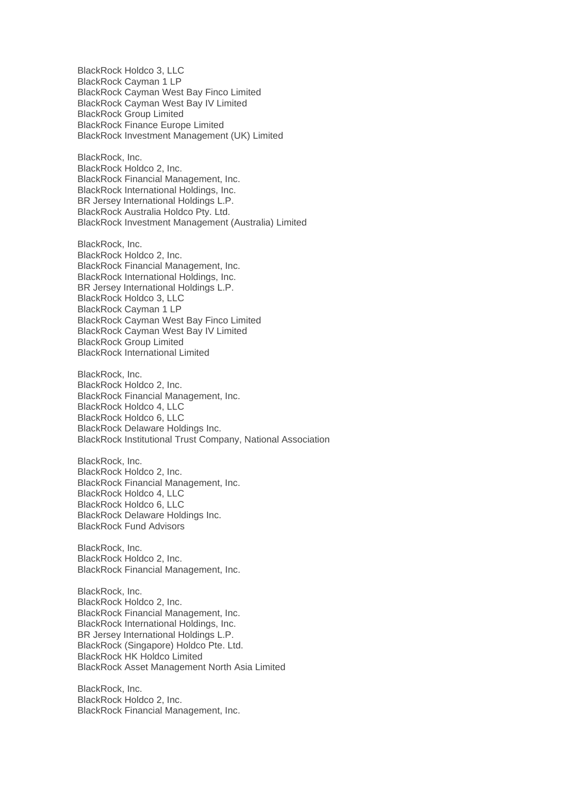BlackRock Holdco 3, LLC BlackRock Cayman 1 LP BlackRock Cayman West Bay Finco Limited BlackRock Cayman West Bay IV Limited BlackRock Group Limited BlackRock Finance Europe Limited BlackRock Investment Management (UK) Limited BlackRock, Inc.

BlackRock Holdco 2, Inc. BlackRock Financial Management, Inc. BlackRock International Holdings, Inc. BR Jersey International Holdings L.P. BlackRock Australia Holdco Pty. Ltd. BlackRock Investment Management (Australia) Limited

BlackRock, Inc. BlackRock Holdco 2, Inc. BlackRock Financial Management, Inc. BlackRock International Holdings, Inc. BR Jersey International Holdings L.P. BlackRock Holdco 3, LLC BlackRock Cayman 1 LP BlackRock Cayman West Bay Finco Limited BlackRock Cayman West Bay IV Limited BlackRock Group Limited BlackRock International Limited

BlackRock, Inc. BlackRock Holdco 2, Inc. BlackRock Financial Management, Inc. BlackRock Holdco 4, LLC BlackRock Holdco 6, LLC BlackRock Delaware Holdings Inc. BlackRock Institutional Trust Company, National Association

BlackRock, Inc. BlackRock Holdco 2, Inc. BlackRock Financial Management, Inc. BlackRock Holdco 4, LLC BlackRock Holdco 6, LLC BlackRock Delaware Holdings Inc. BlackRock Fund Advisors

BlackRock, Inc. BlackRock Holdco 2, Inc. BlackRock Financial Management, Inc.

BlackRock, Inc. BlackRock Holdco 2, Inc. BlackRock Financial Management, Inc. BlackRock International Holdings, Inc. BR Jersey International Holdings L.P. BlackRock (Singapore) Holdco Pte. Ltd. BlackRock HK Holdco Limited BlackRock Asset Management North Asia Limited

BlackRock, Inc. BlackRock Holdco 2, Inc. BlackRock Financial Management, Inc.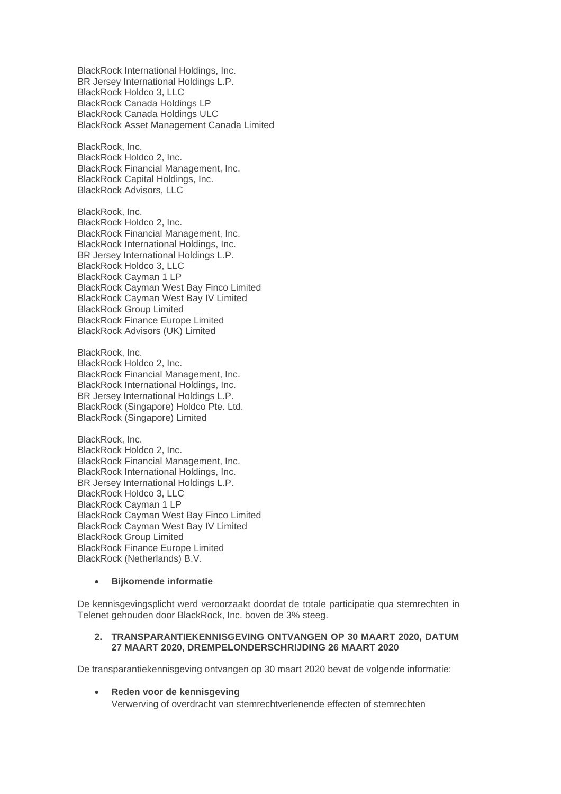BlackRock International Holdings, Inc. BR Jersey International Holdings L.P. BlackRock Holdco 3, LLC BlackRock Canada Holdings LP BlackRock Canada Holdings ULC BlackRock Asset Management Canada Limited

BlackRock, Inc. BlackRock Holdco 2, Inc. BlackRock Financial Management, Inc. BlackRock Capital Holdings, Inc. BlackRock Advisors, LLC

BlackRock, Inc. BlackRock Holdco 2, Inc. BlackRock Financial Management, Inc. BlackRock International Holdings, Inc. BR Jersey International Holdings L.P. BlackRock Holdco 3, LLC BlackRock Cayman 1 LP BlackRock Cayman West Bay Finco Limited BlackRock Cayman West Bay IV Limited BlackRock Group Limited BlackRock Finance Europe Limited BlackRock Advisors (UK) Limited

BlackRock, Inc. BlackRock Holdco 2, Inc. BlackRock Financial Management, Inc. BlackRock International Holdings, Inc. BR Jersey International Holdings L.P. BlackRock (Singapore) Holdco Pte. Ltd. BlackRock (Singapore) Limited

BlackRock, Inc. BlackRock Holdco 2, Inc. BlackRock Financial Management, Inc. BlackRock International Holdings, Inc. BR Jersey International Holdings L.P. BlackRock Holdco 3, LLC BlackRock Cayman 1 LP BlackRock Cayman West Bay Finco Limited BlackRock Cayman West Bay IV Limited BlackRock Group Limited BlackRock Finance Europe Limited BlackRock (Netherlands) B.V.

## • **Bijkomende informatie**

De kennisgevingsplicht werd veroorzaakt doordat de totale participatie qua stemrechten in Telenet gehouden door BlackRock, Inc. boven de 3% steeg.

#### **2. TRANSPARANTIEKENNISGEVING ONTVANGEN OP 30 MAART 2020, DATUM 27 MAART 2020, DREMPELONDERSCHRIJDING 26 MAART 2020**

De transparantiekennisgeving ontvangen op 30 maart 2020 bevat de volgende informatie:

### • **Reden voor de kennisgeving** Verwerving of overdracht van stemrechtverlenende effecten of stemrechten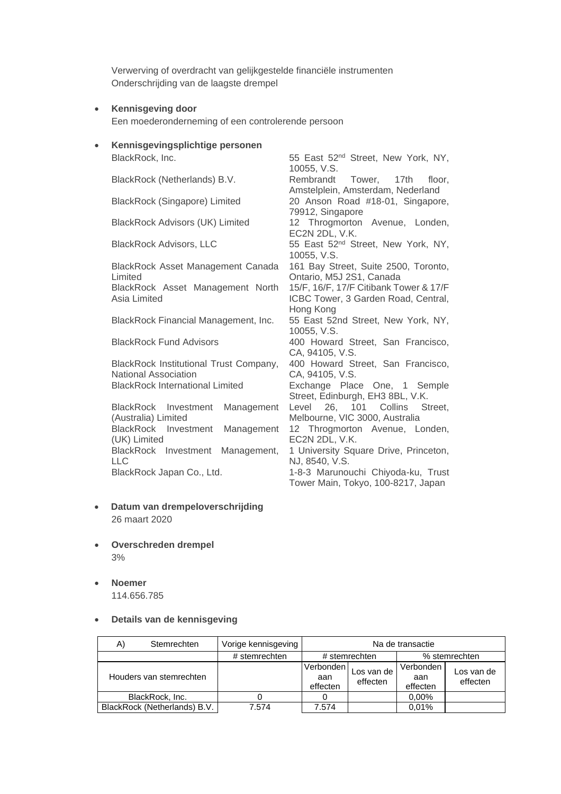Verwerving of overdracht van gelijkgestelde financiële instrumenten Onderschrijding van de laagste drempel

• **Kennisgeving door**

Een moederonderneming of een controlerende persoon

• **Kennisgevingsplichtige personen**

BlackRock Asset Management Canada Limited

BlackRock Asset Management North Asia Limited

BlackRock Institutional Trust Company, National Association BlackRock International Limited Exchange Place One, 1 Semple

BlackRock Investment Management (Australia) Limited BlackRock Investment Management (UK) Limited BlackRock Investment Management, LLC<br>BlackRock Japan Co., Ltd.

- **Datum van drempeloverschrijding** 26 maart 2020
- **Overschreden drempel** 3%
- **Noemer** 114.656.785
- **Details van de kennisgeving**

A) Stemrechten | Vorige kennisgeving | Na de transactie # stemrechten | # stemrechten | % stemrechten Houders van stemrechten Verbonden aan effecten Los van de effecten Verbonden aan effecten Los van de effecten BlackRock, Inc. 0 0 0 0 0,00% BlackRock (Netherlands) B.V. 7.574 7.574 0,01%

BlackRock, Inc. The State of the State 52<sup>nd</sup> Street, New York, NY, 10055, V.S. BlackRock (Netherlands) B.V. Rembrandt Tower, 17th floor, Amstelplein, Amsterdam, Nederland BlackRock (Singapore) Limited 20 Anson Road #18-01, Singapore, 79912, Singapore BlackRock Advisors (UK) Limited 12 Throgmorton Avenue, Londen, EC2N 2DL, V.K. BlackRock Advisors, LLC 55 East 52<sup>nd</sup> Street, New York, NY, 10055, V.S. 161 Bay Street, Suite 2500, Toronto, Ontario, M5J 2S1, Canada 15/F, 16/F, 17/F Citibank Tower & 17/F ICBC Tower, 3 Garden Road, Central, Hong Kong BlackRock Financial Management, Inc. 55 East 52nd Street, New York, NY, 10055, V.S. BlackRock Fund Advisors 400 Howard Street, San Francisco, CA, 94105, V.S. 400 Howard Street, San Francisco, CA, 94105, V.S. Street, Edinburgh, EH3 8BL, V.K. Level 26, 101 Collins Street, Melbourne, VIC 3000, Australia 12 Throgmorton Avenue, Londen, EC2N 2DL, V.K. 1 University Square Drive, Princeton, NJ, 8540, V.S. 1-8-3 Marunouchi Chiyoda-ku, Trust Tower Main, Tokyo, 100-8217, Japan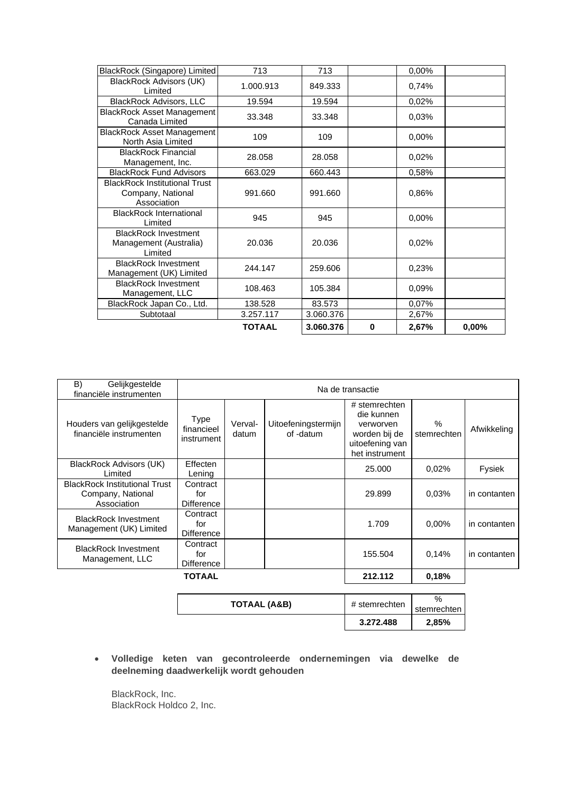| BlackRock (Singapore) Limited                                            | 713           | 713       |   | 0,00% |       |
|--------------------------------------------------------------------------|---------------|-----------|---|-------|-------|
| <b>BlackRock Advisors (UK)</b><br>Limited                                | 1.000.913     | 849.333   |   | 0,74% |       |
| <b>BlackRock Advisors, LLC</b>                                           | 19.594        | 19.594    |   | 0,02% |       |
| <b>BlackRock Asset Management</b><br>Canada Limited                      | 33.348        | 33.348    |   | 0,03% |       |
| <b>BlackRock Asset Management</b><br>North Asia Limited                  | 109           | 109       |   | 0.00% |       |
| <b>BlackRock Financial</b><br>Management, Inc.                           | 28.058        | 28.058    |   | 0,02% |       |
| <b>BlackRock Fund Advisors</b>                                           | 663.029       | 660.443   |   | 0,58% |       |
| <b>BlackRock Institutional Trust</b><br>Company, National<br>Association | 991.660       | 991.660   |   | 0.86% |       |
| <b>BlackRock International</b><br>Limited                                | 945           | 945       |   | 0.00% |       |
| <b>BlackRock Investment</b><br>Management (Australia)<br>Limited         | 20.036        | 20.036    |   | 0,02% |       |
| <b>BlackRock Investment</b><br>Management (UK) Limited                   | 244.147       | 259.606   |   | 0,23% |       |
| <b>BlackRock Investment</b><br>Management, LLC                           | 108.463       | 105.384   |   | 0.09% |       |
| BlackRock Japan Co., Ltd.                                                | 138.528       | 83.573    |   | 0,07% |       |
| Subtotaal                                                                | 3.257.117     | 3.060.376 |   | 2,67% |       |
|                                                                          | <b>TOTAAL</b> | 3.060.376 | 0 | 2,67% | 0,00% |

| B)<br>Gelijkgestelde<br>financiële instrumenten                          | Na de transactie                        |                  |                                  |                                                                                                |                              |              |
|--------------------------------------------------------------------------|-----------------------------------------|------------------|----------------------------------|------------------------------------------------------------------------------------------------|------------------------------|--------------|
| Houders van gelijkgestelde<br>financiële instrumenten                    | <b>Type</b><br>financieel<br>instrument | Verval-<br>datum | Uitoefeningstermijn<br>of -datum | # stemrechten<br>die kunnen<br>verworven<br>worden bij de<br>uitoefening van<br>het instrument | $\frac{0}{0}$<br>stemrechten | Afwikkeling  |
| BlackRock Advisors (UK)<br>Limited                                       | Effecten<br>Lening                      |                  |                                  | 25,000                                                                                         | 0,02%                        | Fysiek       |
| <b>BlackRock Institutional Trust</b><br>Company, National<br>Association | Contract<br>for<br><b>Difference</b>    |                  |                                  | 29.899                                                                                         | 0.03%                        | in contanten |
| <b>BlackRock Investment</b><br>Management (UK) Limited                   | Contract<br>for<br><b>Difference</b>    |                  |                                  | 1.709                                                                                          | 0.00%                        | in contanten |
| <b>BlackRock Investment</b><br>Management, LLC                           | Contract<br>for<br><b>Difference</b>    |                  |                                  | 155.504                                                                                        | 0.14%                        | in contanten |
| TOTAAL                                                                   |                                         |                  |                                  | 212.112                                                                                        | 0.18%                        |              |

|              | 3.272.488     | 2,85%       |
|--------------|---------------|-------------|
|              |               | stemrechten |
| TOTAAL (A&B) | # stemrechten | $\%$        |

• **Volledige keten van gecontroleerde ondernemingen via dewelke de deelneming daadwerkelijk wordt gehouden**

BlackRock, Inc. BlackRock Holdco 2, Inc.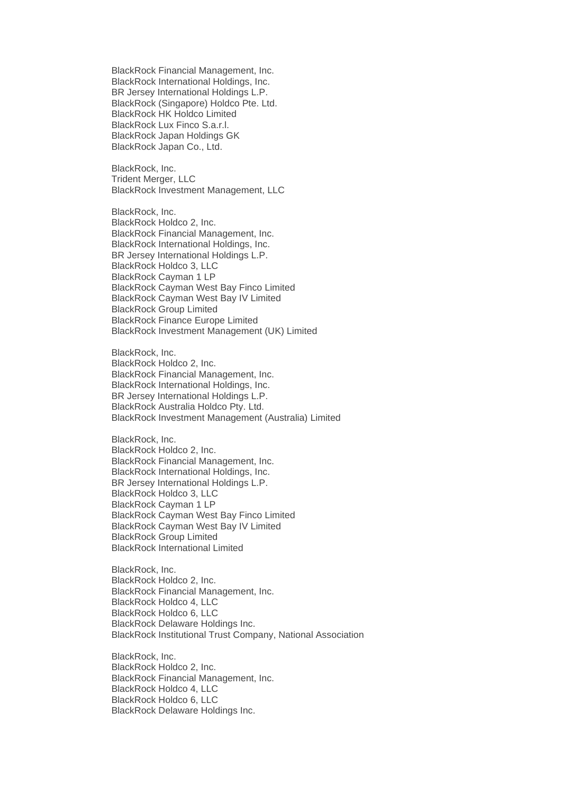BlackRock Financial Management, Inc. BlackRock International Holdings, Inc. BR Jersey International Holdings L.P. BlackRock (Singapore) Holdco Pte. Ltd. BlackRock HK Holdco Limited BlackRock Lux Finco S.a.r.l. BlackRock Japan Holdings GK BlackRock Japan Co., Ltd.

BlackRock, Inc. Trident Merger, LLC BlackRock Investment Management, LLC

BlackRock, Inc. BlackRock Holdco 2, Inc. BlackRock Financial Management, Inc. BlackRock International Holdings, Inc. BR Jersey International Holdings L.P. BlackRock Holdco 3, LLC BlackRock Cayman 1 LP BlackRock Cayman West Bay Finco Limited BlackRock Cayman West Bay IV Limited BlackRock Group Limited BlackRock Finance Europe Limited BlackRock Investment Management (UK) Limited

BlackRock, Inc. BlackRock Holdco 2, Inc. BlackRock Financial Management, Inc. BlackRock International Holdings, Inc. BR Jersey International Holdings L.P. BlackRock Australia Holdco Pty. Ltd. BlackRock Investment Management (Australia) Limited

BlackRock, Inc. BlackRock Holdco 2, Inc. BlackRock Financial Management, Inc. BlackRock International Holdings, Inc. BR Jersey International Holdings L.P. BlackRock Holdco 3, LLC BlackRock Cayman 1 LP BlackRock Cayman West Bay Finco Limited BlackRock Cayman West Bay IV Limited BlackRock Group Limited BlackRock International Limited

BlackRock, Inc. BlackRock Holdco 2, Inc. BlackRock Financial Management, Inc. BlackRock Holdco 4, LLC BlackRock Holdco 6, LLC BlackRock Delaware Holdings Inc. BlackRock Institutional Trust Company, National Association

BlackRock, Inc. BlackRock Holdco 2, Inc. BlackRock Financial Management, Inc. BlackRock Holdco 4, LLC BlackRock Holdco 6, LLC BlackRock Delaware Holdings Inc.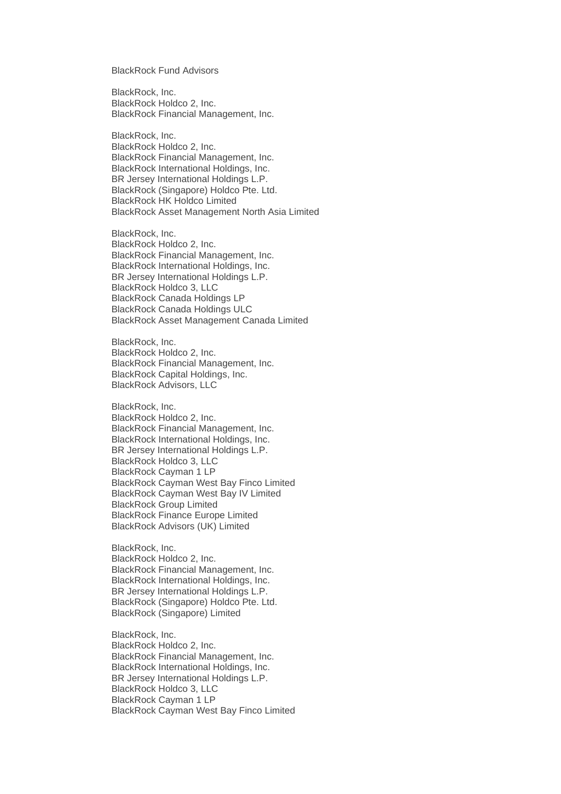BlackRock Fund Advisors

BlackRock, Inc. BlackRock Holdco 2, Inc. BlackRock Financial Management, Inc.

BlackRock, Inc. BlackRock Holdco 2, Inc. BlackRock Financial Management, Inc. BlackRock International Holdings, Inc. BR Jersey International Holdings L.P. BlackRock (Singapore) Holdco Pte. Ltd. BlackRock HK Holdco Limited BlackRock Asset Management North Asia Limited

BlackRock, Inc. BlackRock Holdco 2, Inc. BlackRock Financial Management, Inc. BlackRock International Holdings, Inc. BR Jersey International Holdings L.P. BlackRock Holdco 3, LLC BlackRock Canada Holdings LP BlackRock Canada Holdings ULC BlackRock Asset Management Canada Limited

BlackRock, Inc. BlackRock Holdco 2, Inc. BlackRock Financial Management, Inc. BlackRock Capital Holdings, Inc. BlackRock Advisors, LLC

BlackRock, Inc. BlackRock Holdco 2, Inc. BlackRock Financial Management, Inc. BlackRock International Holdings, Inc. BR Jersey International Holdings L.P. BlackRock Holdco 3, LLC BlackRock Cayman 1 LP BlackRock Cayman West Bay Finco Limited BlackRock Cayman West Bay IV Limited BlackRock Group Limited BlackRock Finance Europe Limited BlackRock Advisors (UK) Limited

BlackRock, Inc. BlackRock Holdco 2, Inc. BlackRock Financial Management, Inc. BlackRock International Holdings, Inc. BR Jersey International Holdings L.P. BlackRock (Singapore) Holdco Pte. Ltd. BlackRock (Singapore) Limited

BlackRock, Inc. BlackRock Holdco 2, Inc. BlackRock Financial Management, Inc. BlackRock International Holdings, Inc. BR Jersey International Holdings L.P. BlackRock Holdco 3, LLC BlackRock Cayman 1 LP BlackRock Cayman West Bay Finco Limited